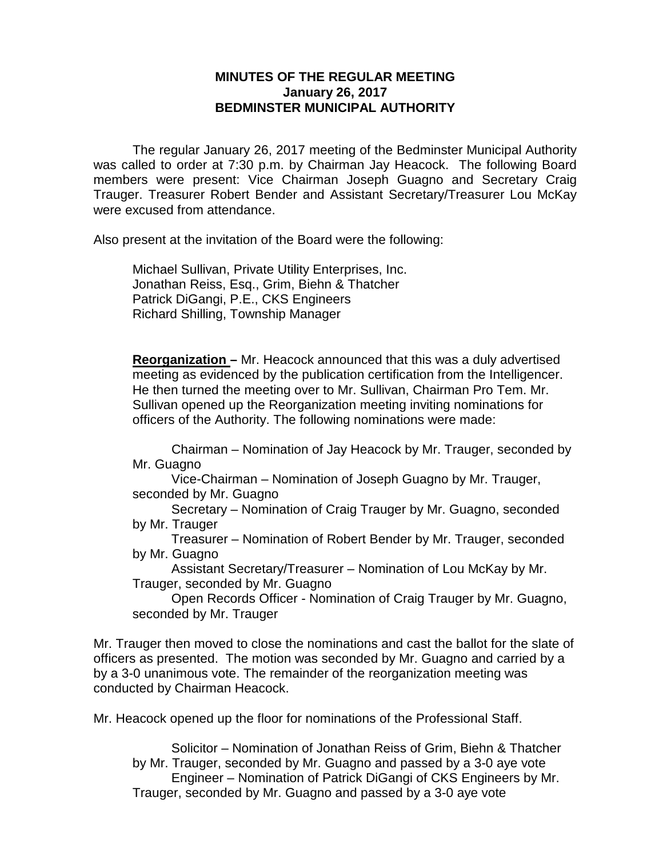## **MINUTES OF THE REGULAR MEETING January 26, 2017 BEDMINSTER MUNICIPAL AUTHORITY**

The regular January 26, 2017 meeting of the Bedminster Municipal Authority was called to order at 7:30 p.m. by Chairman Jay Heacock. The following Board members were present: Vice Chairman Joseph Guagno and Secretary Craig Trauger. Treasurer Robert Bender and Assistant Secretary/Treasurer Lou McKay were excused from attendance.

Also present at the invitation of the Board were the following:

Michael Sullivan, Private Utility Enterprises, Inc. Jonathan Reiss, Esq., Grim, Biehn & Thatcher Patrick DiGangi, P.E., CKS Engineers Richard Shilling, Township Manager

**Reorganization –** Mr. Heacock announced that this was a duly advertised meeting as evidenced by the publication certification from the Intelligencer. He then turned the meeting over to Mr. Sullivan, Chairman Pro Tem. Mr. Sullivan opened up the Reorganization meeting inviting nominations for officers of the Authority. The following nominations were made:

Chairman – Nomination of Jay Heacock by Mr. Trauger, seconded by Mr. Guagno

Vice-Chairman – Nomination of Joseph Guagno by Mr. Trauger, seconded by Mr. Guagno

Secretary – Nomination of Craig Trauger by Mr. Guagno, seconded by Mr. Trauger

Treasurer – Nomination of Robert Bender by Mr. Trauger, seconded by Mr. Guagno

Assistant Secretary/Treasurer – Nomination of Lou McKay by Mr. Trauger, seconded by Mr. Guagno

Open Records Officer - Nomination of Craig Trauger by Mr. Guagno, seconded by Mr. Trauger

Mr. Trauger then moved to close the nominations and cast the ballot for the slate of officers as presented. The motion was seconded by Mr. Guagno and carried by a by a 3-0 unanimous vote. The remainder of the reorganization meeting was conducted by Chairman Heacock.

Mr. Heacock opened up the floor for nominations of the Professional Staff.

Solicitor – Nomination of Jonathan Reiss of Grim, Biehn & Thatcher by Mr. Trauger, seconded by Mr. Guagno and passed by a 3-0 aye vote Engineer – Nomination of Patrick DiGangi of CKS Engineers by Mr. Trauger, seconded by Mr. Guagno and passed by a 3-0 aye vote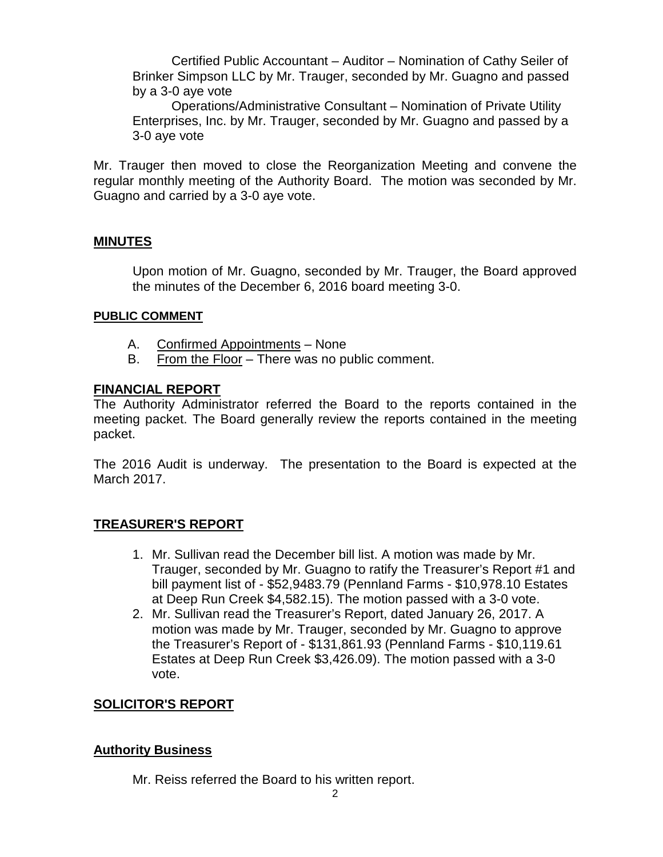Certified Public Accountant – Auditor – Nomination of Cathy Seiler of Brinker Simpson LLC by Mr. Trauger, seconded by Mr. Guagno and passed by a 3-0 aye vote

Operations/Administrative Consultant – Nomination of Private Utility Enterprises, Inc. by Mr. Trauger, seconded by Mr. Guagno and passed by a 3-0 aye vote

Mr. Trauger then moved to close the Reorganization Meeting and convene the regular monthly meeting of the Authority Board. The motion was seconded by Mr. Guagno and carried by a 3-0 aye vote.

# **MINUTES**

Upon motion of Mr. Guagno, seconded by Mr. Trauger, the Board approved the minutes of the December 6, 2016 board meeting 3-0.

### **PUBLIC COMMENT**

- A. Confirmed Appointments None
- B. From the Floor There was no public comment.

# **FINANCIAL REPORT**

The Authority Administrator referred the Board to the reports contained in the meeting packet. The Board generally review the reports contained in the meeting packet.

The 2016 Audit is underway. The presentation to the Board is expected at the March 2017.

# **TREASURER'S REPORT**

- 1. Mr. Sullivan read the December bill list. A motion was made by Mr. Trauger, seconded by Mr. Guagno to ratify the Treasurer's Report #1 and bill payment list of - \$52,9483.79 (Pennland Farms - \$10,978.10 Estates at Deep Run Creek \$4,582.15). The motion passed with a 3-0 vote.
- 2. Mr. Sullivan read the Treasurer's Report, dated January 26, 2017. A motion was made by Mr. Trauger, seconded by Mr. Guagno to approve the Treasurer's Report of - \$131,861.93 (Pennland Farms - \$10,119.61 Estates at Deep Run Creek \$3,426.09). The motion passed with a 3-0 vote.

# **SOLICITOR'S REPORT**

### **Authority Business**

Mr. Reiss referred the Board to his written report.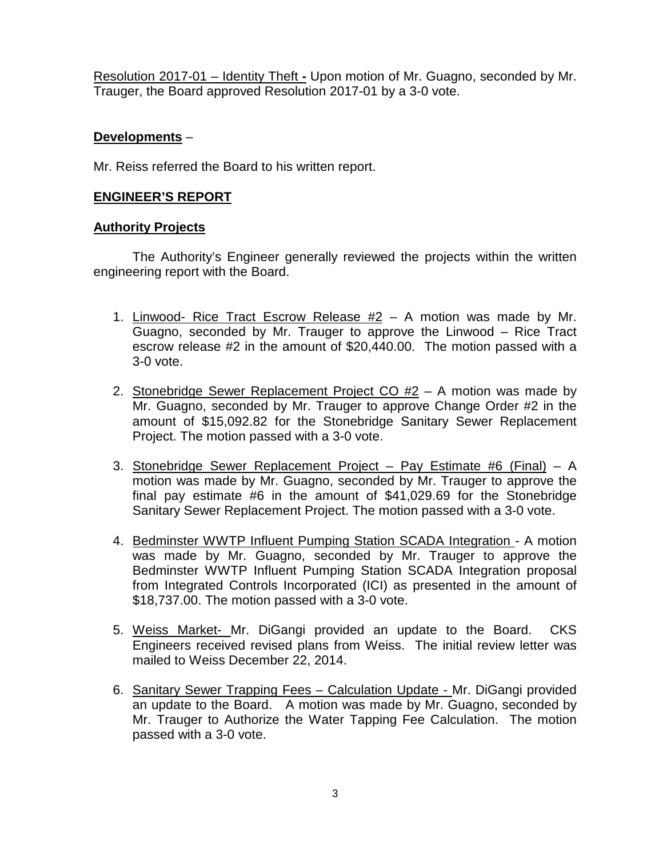Resolution 2017-01 – Identity Theft **-** Upon motion of Mr. Guagno, seconded by Mr. Trauger, the Board approved Resolution 2017-01 by a 3-0 vote.

### **Developments** –

Mr. Reiss referred the Board to his written report.

## **ENGINEER'S REPORT**

### **Authority Projects**

The Authority's Engineer generally reviewed the projects within the written engineering report with the Board.

- 1. Linwood- Rice Tract Escrow Release #2 A motion was made by Mr. Guagno, seconded by Mr. Trauger to approve the Linwood – Rice Tract escrow release #2 in the amount of \$20,440.00. The motion passed with a 3-0 vote.
- 2. Stonebridge Sewer Replacement Project  $CO$   $#2 A$  motion was made by Mr. Guagno, seconded by Mr. Trauger to approve Change Order #2 in the amount of \$15,092.82 for the Stonebridge Sanitary Sewer Replacement Project. The motion passed with a 3-0 vote.
- 3. Stonebridge Sewer Replacement Project Pay Estimate #6 (Final) A motion was made by Mr. Guagno, seconded by Mr. Trauger to approve the final pay estimate #6 in the amount of \$41,029.69 for the Stonebridge Sanitary Sewer Replacement Project. The motion passed with a 3-0 vote.
- 4. Bedminster WWTP Influent Pumping Station SCADA Integration A motion was made by Mr. Guagno, seconded by Mr. Trauger to approve the Bedminster WWTP Influent Pumping Station SCADA Integration proposal from Integrated Controls Incorporated (ICI) as presented in the amount of \$18,737.00. The motion passed with a 3-0 vote.
- 5. Weiss Market- Mr. DiGangi provided an update to the Board. CKS Engineers received revised plans from Weiss. The initial review letter was mailed to Weiss December 22, 2014.
- 6. Sanitary Sewer Trapping Fees Calculation Update Mr. DiGangi provided an update to the Board. A motion was made by Mr. Guagno, seconded by Mr. Trauger to Authorize the Water Tapping Fee Calculation. The motion passed with a 3-0 vote.